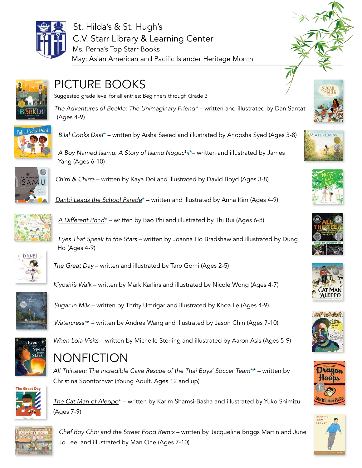

St. Hilda's & St. Hugh's C.V. Starr Library & Learning Center Ms. Perna's Top Starr Books May: Asian American and Pacific Islander Heritage Month



## PICTURE BOOKS

Suggested grade level for all entries: Beginners through Grade 3

*The Adventures of Beekle: The Unimaginary Friend\** – written and illustrated by Dan Santat (Ages 4-9)



*[Bilal Cooks Daal](https://soraapp.com/library/sthildasny/search/query-bilal%20cooks%20daal/libraries-202819,360227,100398,89,37,62,86/page-1/202819/4500899)*\* – written by Aisha Saeed and illustrated by Anoosha Syed (Ages 3-8)



*[A Boy Named Isamu: A Story of Isamu Noguchi](https://soraapp.com/library/hvlany/search/query-A%20Boy%20Named%20Isamu:%20A%20Story%20of%20Isamu%20Noguchi/libraries-202819,360227,100398,89,37,62,86/page-1/360227/5745404)*\*– written and illustrated by James Yang (Ages 6-10)

*Chirri & Chirra* – written by Kaya Doi and illustrated by David Boyd (Ages 3-8)

*[Danbi Leads the School Parade](https://soraapp.com/library/hvlany/search/query-danbi%20leads%20the%20school%20parade/libraries-202819,360227,100398,89,37,62,86/page-1/360227/5042708)*\* – written and illustrated by Anna Kim (Ages 4-9)



*[A Different Pond](https://soraapp.com/library/hvlany/search/query-different%20pond/libraries-202819,360227,100398,89,37,62,86/page-1/360227/5404835)*\* – written by Bao Phi and illustrated by Thi Bui (Ages 6-8)

*Eyes That Speak to the Stars* – written by Joanna Ho Bradshaw and illustrated by Dung Ho (Ages 4-9)



*[The Great Day](https://soraapp.com/library/hvlany/search/query-Tar%C5%8D%20Gomi/libraries-202819,360227,100398,89,37,62,86/page-1/360227/1881026)* – written and illustrated by Tarō Gomi (Ages 2-5)

*[Kiyoshi's Walk](https://soraapp.com/library/hvlany/search/query-Kiyoshi%E2%80%99s%20Walk/libraries-202819,360227,100398,89,37,62,86/page-1/loans/360227-5794006)* – written by Mark Karlins and illustrated by Nicole Wong (Ages 4-7)



*[Sugar in Milk](https://soraapp.com/library/hvlany/search/query-sugar%20in%20milk/libraries-202819,360227,100398,89,37,62,86/page-1/360227/5255211)* – written by Thrity Umrigar and illustrated by Khoa Le (Ages 4-9)

*[Watercress](https://soraapp.com/library/hvlany/search/query-Watercress/libraries-202819,360227,100398,89,37,62,86/page-1/360227/5852604)\**\* – written by Andrea Wang and illustrated by Jason Chin (Ages 7-10)



*When Lola Visits* – written by Michelle Sterling and illustrated by Aaron Asis (Ages 5-9)

## **NONFICTION**

*[All Thirteen: The Incredible Cave Rescue of the Thai Boys' Soccer Team](https://soraapp.com/library/sthildasny/search/query-All)*\*\* – written by Christina Soontornvat (Young Adult. Ages 12 and up)



*[The Cat Man of Aleppo](https://soraapp.com/library/hvlany/search/query-The)*\* – written by Karim Shamsi-Basha and illustrated by Yuko Shimizu (Ages 7-9)



*[Chef Roy Choi and the Street Food Remix](https://soraapp.com/library/sthildasny/search/query-Chef)* – written by Jacqueline Briggs Martin and June Jo Lee, and illustrated by Man One (Ages 7-10)

















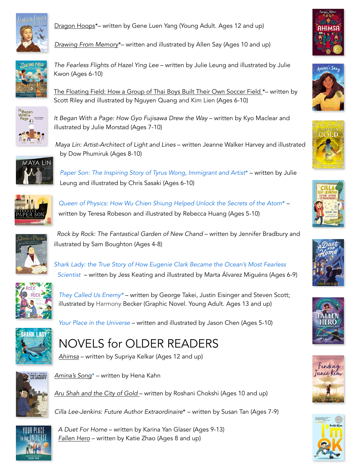

Dragon Hoops<sup>\*</sup>– written by Gene Luen Yang (Young Adult. Ages 12 and up)

*[Drawing From Memory](https://soraapp.com/library/sthildasny/search/query-Drawing%20From%20Memory/libraries-202819,360227,100398,89,37,62,86/page-1/202819/2661423)*\*– written and illustrated by Allen Say (Ages 10 and up)



*The Fearless Flights of Hazel Ying Lee* – written by Julie Leung and illustrated by Julie Kwon (Ages 6-10)

[The Floating Field: How a Group of Thai Boys Built Their Own Soccer Field \\*](https://soraapp.com/library/hvlany/search/query-The%20Floating%20Field:%20How%20a%20Group%20of%20Thai%20Boys%20Built%20Their%20Own%20Soccer%20Field%20/libraries-202819,360227,100398,89,37,62,86/page-1/360227/5928552)– written by Scott Riley and illustrated by Nguyen Quang and Kim Lien (Ages 6-10)



*It Began With a Page: How Gyo Fujisawa Drew the Way* – written by Kyo Maclear and illustrated by Julie Morstad (Ages 7-10)



*Maya Lin: Artist-Architect of Light and Lines* – written Jeanne Walker Harvey and illustrated by Dow Phumiruk (Ages 8-10)

*[Paper Son: The Inspiring Story of Tyrus Wong, Immigrant and Artist](https://soraapp.com/library/hvlany/search/query-Paper)*\* – written by Julie Leung and illustrated by Chris Sasaki (Ages 6-10)



*[Queen of Physics: How Wu Chien Shiung Helped Unlock the Secrets of the Atom](https://soraapp.com/library/sthildasny/search/query-Queen)*\* – written by Teresa Robeson and illustrated by Rebecca Huang (Ages 5-10)



*Rock by Rock: The Fantastical Garden of New Chand – written by Jennifer Bradbury and* illustrated by Sam Boughton (Ages 4-8)

*[Shark Lady: the True Story of How Eugenie Clark Became the Ocean's Most Fearless](https://soraapp.com/library/hvlany/search/query-Shark)  [Scientist](https://soraapp.com/library/hvlany/search/query-Shark)* – written by Jess Keating and illustrated by Marta Álvarez Miguéns (Ages 6-9)



*[They Called Us Enemy](https://soraapp.com/library/hvlany/search/query-They)\** – written by George Takei, Justin Eisinger and Steven Scott; illustrated by Harmony Becker (Graphic Novel. Young Adult. Ages 13 and up)



*[Your Place in the Universe](https://soraapp.com/library/hvlany/search/query-Your)* – written and illustrated by Jason Chen (Ages 5-10)





*[Amina's Song](https://soraapp.com/library/hvlany/search/query-amina)*\* – written by Hena Kahn

*[Aru Shah and the City of Gold](https://soraapp.com/library/hvlany/search/query-Aru%20Shah%20and%20the%20City%20of%20Gold%20/libraries-202819,360227,100398,89,37,62,86/page-1/360227/6161774)* – written by Roshani Chokshi (Ages 10 and up)

*Cilla Lee-Jenkins: Future Author Extraordinaire*\* – written by Susan Tan (Ages 7-9)

*A Duet For Home* – written by Karina Yan Glaser (Ages 9-13) *[Fallen Hero](https://soraapp.com/library/hvlany/search/query-The)* – written by Katie Zhao (Ages 8 and up)